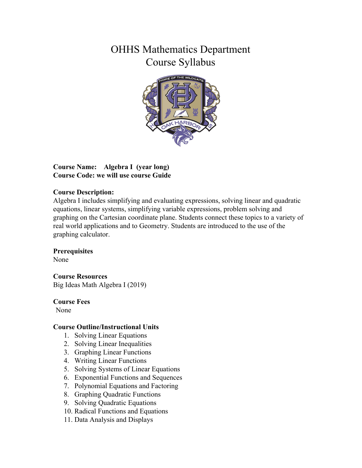# OHHS Mathematics Department Course Syllabus



#### **Course Name: Algebra I (year long) Course Code: we will use course Guide**

#### **Course Description:**

Algebra I includes simplifying and evaluating expressions, solving linear and quadratic equations, linear systems, simplifying variable expressions, problem solving and graphing on the Cartesian coordinate plane. Students connect these topics to a variety of real world applications and to Geometry. Students are introduced to the use of the graphing calculator.

#### **Prerequisites**

None

#### **Course Resources**

Big Ideas Math Algebra I (2019)

#### **Course Fees**

None

#### **Course Outline/Instructional Units**

- 1. Solving Linear Equations
- 2. Solving Linear Inequalities
- 3. Graphing Linear Functions
- 4. Writing Linear Functions
- 5. Solving Systems of Linear Equations
- 6. Exponential Functions and Sequences
- 7. Polynomial Equations and Factoring
- 8. Graphing Quadratic Functions
- 9. Solving Quadratic Equations
- 10. Radical Functions and Equations
- 11. Data Analysis and Displays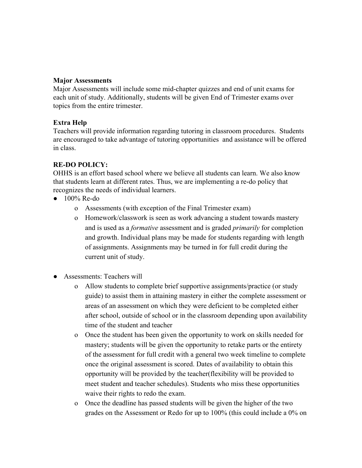#### **Major Assessments**

Major Assessments will include some mid-chapter quizzes and end of unit exams for each unit of study. Additionally, students will be given End of Trimester exams over topics from the entire trimester.

#### **Extra Help**

Teachers will provide information regarding tutoring in classroom procedures. Students are encouraged to take advantage of tutoring opportunities and assistance will be offered in class.

#### **RE-DO POLICY:**

OHHS is an effort based school where we believe all students can learn. We also know that students learn at different rates. Thus, we are implementing a re-do policy that recognizes the needs of individual learners.

- $\bullet$  100% Re-do
	- o Assessments (with exception of the Final Trimester exam)
	- o Homework/classwork is seen as work advancing a student towards mastery and is used as a *formative* assessment and is graded *primarily* for completion and growth. Individual plans may be made for students regarding with length of assignments. Assignments may be turned in for full credit during the current unit of study.
- Assessments: Teachers will
	- o Allow students to complete brief supportive assignments/practice (or study guide) to assist them in attaining mastery in either the complete assessment or areas of an assessment on which they were deficient to be completed either after school, outside of school or in the classroom depending upon availability time of the student and teacher
	- o Once the student has been given the opportunity to work on skills needed for mastery; students will be given the opportunity to retake parts or the entirety of the assessment for full credit with a general two week timeline to complete once the original assessment is scored. Dates of availability to obtain this opportunity will be provided by the teacher(flexibility will be provided to meet student and teacher schedules). Students who miss these opportunities waive their rights to redo the exam.
	- o Once the deadline has passed students will be given the higher of the two grades on the Assessment or Redo for up to 100% (this could include a 0% on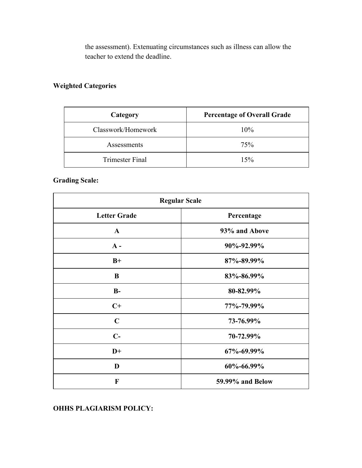the assessment). Extenuating circumstances such as illness can allow the teacher to extend the deadline.

## **Weighted Categories**

| Category               | <b>Percentage of Overall Grade</b> |
|------------------------|------------------------------------|
| Classwork/Homework     | 10%                                |
| Assessments            | 75%                                |
| <b>Trimester Final</b> | 15%                                |

### **Grading Scale:**

| <b>Regular Scale</b> |                  |
|----------------------|------------------|
| <b>Letter Grade</b>  | Percentage       |
| $\mathbf{A}$         | 93% and Above    |
| $A -$                | 90%-92.99%       |
| $B+$                 | 87%-89.99%       |
| B                    | 83%-86.99%       |
| $B-$                 | 80-82.99%        |
| $C+$                 | 77%-79.99%       |
| $\mathbf C$          | 73-76.99%        |
| $C-$                 | 70-72.99%        |
| $D+$                 | 67%-69.99%       |
| D                    | 60%-66.99%       |
| $\mathbf{F}$         | 59.99% and Below |

**OHHS PLAGIARISM POLICY:**